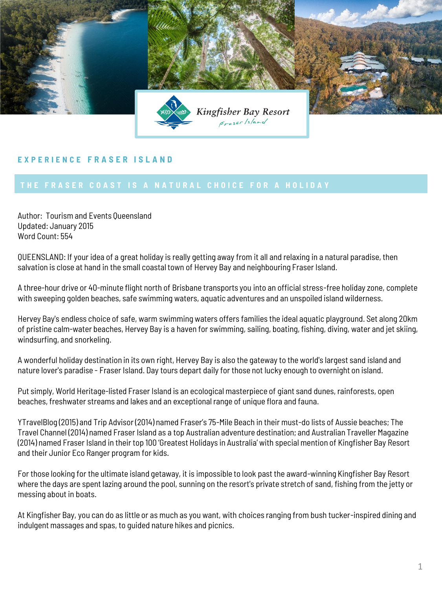

## **E X P E R I E N C E F R A S E R I S L A N D**

Author: Tourism and Events Queensland Updated: January 2015 Word Count: 554

QUEENSLAND: If your idea of a great holiday is really getting away from it all and relaxing in a natural paradise, then salvation is close at hand in the small coastal town of Hervey Bay and neighbouring Fraser Island.

A three-hour drive or 40-minute flight north of Brisbane transports you into an official stress-free holiday zone, complete with sweeping golden beaches, safe swimming waters, aquatic adventures and an unspoiled island wilderness.

Hervey Bay's endless choice of safe, warm swimming waters offers families the ideal aquatic playground. Set along 20km of pristine calm-water beaches, Hervey Bay is a haven for swimming, sailing, boating, fishing, diving, water and jet skiing, windsurfing, and snorkeling.

A wonderful holiday destination in its own right, Hervey Bay is also the gateway to the world's largest sand island and nature lover's paradise - Fraser Island. Day tours depart daily for those not lucky enough to overnight on island.

Put simply, World Heritage-listed Fraser Island is an ecological masterpiece of giant sand dunes, rainforests, open beaches, freshwater streams and lakes and an exceptional range of unique flora and fauna.

YTravelBlog (2015) and Trip Advisor (2014) named Fraser's 75-Mile Beach in their must-do lists of Aussie beaches; The Travel Channel (2014) named Fraser Island as a top Australian adventure destination; and Australian Traveller Magazine (2014) named Fraser Island in their top 100 'Greatest Holidays in Australia' with special mention of Kingfisher Bay Resort and their Junior Eco Ranger program for kids.

For those looking for the ultimate island getaway, it is impossible to look past the award-winning Kingfisher Bay Resort where the days are spent lazing around the pool, sunning on the resort's private stretch of sand, fishing from the jetty or messing about in boats.

At Kingfisher Bay, you can do as little or as much as you want, with choices ranging from bush tucker-inspired dining and indulgent massages and spas, to guided nature hikes and picnics.